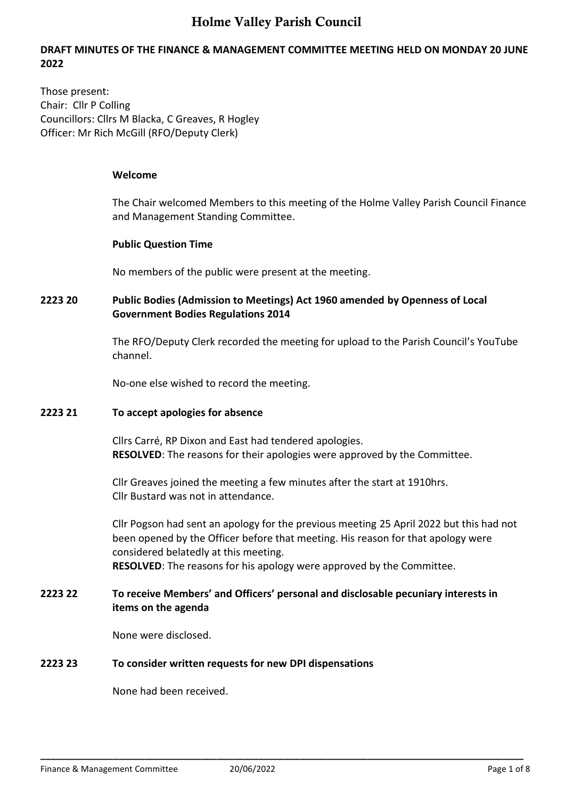#### **DRAFT MINUTES OF THE FINANCE & MANAGEMENT COMMITTEE MEETING HELD ON MONDAY 20 JUNE 2022**

Those present: Chair: Cllr P Colling Councillors: Cllrs M Blacka, C Greaves, R Hogley Officer: Mr Rich McGill (RFO/Deputy Clerk)

#### **Welcome**

The Chair welcomed Members to this meeting of the Holme Valley Parish Council Finance and Management Standing Committee.

#### **Public Question Time**

No members of the public were present at the meeting.

#### **2223 20 Public Bodies (Admission to Meetings) Act 1960 amended by Openness of Local Government Bodies Regulations 2014**

The RFO/Deputy Clerk recorded the meeting for upload to the Parish Council's YouTube channel.

No-one else wished to record the meeting.

#### **2223 21 To accept apologies for absence**

Cllrs Carré, RP Dixon and East had tendered apologies. **RESOLVED**: The reasons for their apologies were approved by the Committee.

Cllr Greaves joined the meeting a few minutes after the start at 1910hrs. Cllr Bustard was not in attendance.

Cllr Pogson had sent an apology for the previous meeting 25 April 2022 but this had not been opened by the Officer before that meeting. His reason for that apology were considered belatedly at this meeting. **RESOLVED**: The reasons for his apology were approved by the Committee.

#### **2223 22 To receive Members' and Officers' personal and disclosable pecuniary interests in items on the agenda**

None were disclosed.

### **2223 23 To consider written requests for new DPI dispensations**

None had been received.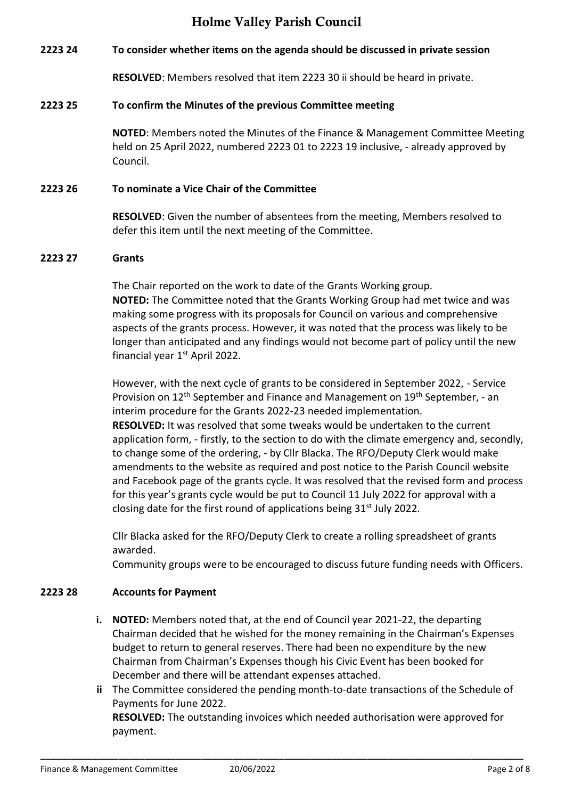#### **2223 24 To consider whether items on the agenda should be discussed in private session**

**RESOLVED**: Members resolved that item 2223 30 ii should be heard in private.

#### **2223 25 To confirm the Minutes of the previous Committee meeting**

**NOTED**: Members noted the Minutes of the Finance & Management Committee Meeting held on 25 April 2022, numbered 2223 01 to 2223 19 inclusive, - already approved by Council.

#### **2223 26 To nominate a Vice Chair of the Committee**

**RESOLVED**: Given the number of absentees from the meeting, Members resolved to defer this item until the next meeting of the Committee.

#### **2223 27 Grants**

The Chair reported on the work to date of the Grants Working group. **NOTED:** The Committee noted that the Grants Working Group had met twice and was making some progress with its proposals for Council on various and comprehensive aspects of the grants process. However, it was noted that the process was likely to be longer than anticipated and any findings would not become part of policy until the new financial year  $1<sup>st</sup>$  April 2022.

However, with the next cycle of grants to be considered in September 2022, - Service Provision on 12<sup>th</sup> September and Finance and Management on 19<sup>th</sup> September, - an interim procedure for the Grants 2022-23 needed implementation. **RESOLVED:** It was resolved that some tweaks would be undertaken to the current application form, - firstly, to the section to do with the climate emergency and, secondly, to change some of the ordering, - by Cllr Blacka. The RFO/Deputy Clerk would make amendments to the website as required and post notice to the Parish Council website and Facebook page of the grants cycle. It was resolved that the revised form and process for this year's grants cycle would be put to Council 11 July 2022 for approval with a closing date for the first round of applications being 31<sup>st</sup> July 2022.

Cllr Blacka asked for the RFO/Deputy Clerk to create a rolling spreadsheet of grants awarded.

Community groups were to be encouraged to discuss future funding needs with Officers.

#### **2223 28 Accounts for Payment**

- **i. NOTED:** Members noted that, at the end of Council year 2021-22, the departing Chairman decided that he wished for the money remaining in the Chairman's Expenses budget to return to general reserves. There had been no expenditure by the new Chairman from Chairman's Expenses though his Civic Event has been booked for December and there will be attendant expenses attached.
- **ii** The Committee considered the pending month-to-date transactions of the Schedule of Payments for June 2022. **RESOLVED:** The outstanding invoices which needed authorisation were approved for

payment.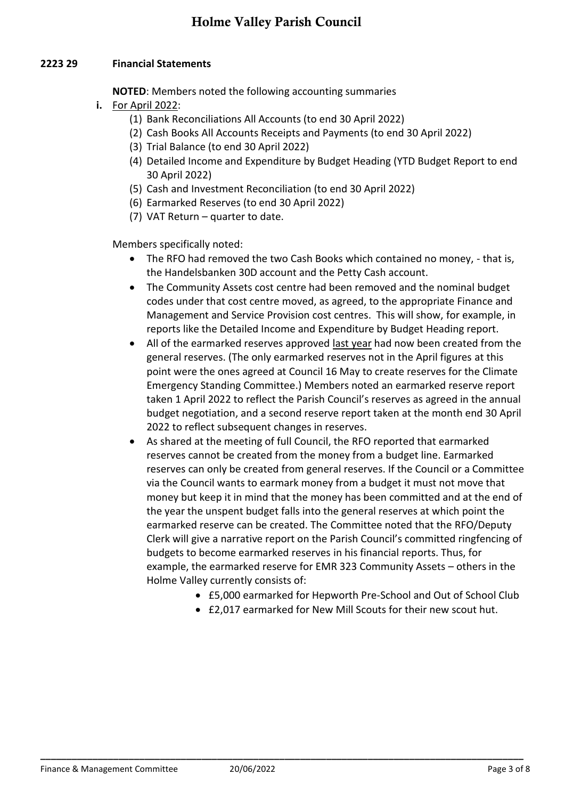#### **2223 29 Financial Statements**

**NOTED**: Members noted the following accounting summaries

- **i.** For April 2022:
	- (1) Bank Reconciliations All Accounts (to end 30 April 2022)
	- (2) Cash Books All Accounts Receipts and Payments (to end 30 April 2022)
	- (3) Trial Balance (to end 30 April 2022)
	- (4) Detailed Income and Expenditure by Budget Heading (YTD Budget Report to end 30 April 2022)
	- (5) Cash and Investment Reconciliation (to end 30 April 2022)
	- (6) Earmarked Reserves (to end 30 April 2022)
	- (7) VAT Return quarter to date.

Members specifically noted:

- The RFO had removed the two Cash Books which contained no money, that is, the Handelsbanken 30D account and the Petty Cash account.
- The Community Assets cost centre had been removed and the nominal budget codes under that cost centre moved, as agreed, to the appropriate Finance and Management and Service Provision cost centres. This will show, for example, in reports like the Detailed Income and Expenditure by Budget Heading report.
- All of the earmarked reserves approved last year had now been created from the general reserves. (The only earmarked reserves not in the April figures at this point were the ones agreed at Council 16 May to create reserves for the Climate Emergency Standing Committee.) Members noted an earmarked reserve report taken 1 April 2022 to reflect the Parish Council's reserves as agreed in the annual budget negotiation, and a second reserve report taken at the month end 30 April 2022 to reflect subsequent changes in reserves.
- As shared at the meeting of full Council, the RFO reported that earmarked reserves cannot be created from the money from a budget line. Earmarked reserves can only be created from general reserves. If the Council or a Committee via the Council wants to earmark money from a budget it must not move that money but keep it in mind that the money has been committed and at the end of the year the unspent budget falls into the general reserves at which point the earmarked reserve can be created. The Committee noted that the RFO/Deputy Clerk will give a narrative report on the Parish Council's committed ringfencing of budgets to become earmarked reserves in his financial reports. Thus, for example, the earmarked reserve for EMR 323 Community Assets – others in the Holme Valley currently consists of:
	- £5,000 earmarked for Hepworth Pre-School and Out of School Club
	- £2,017 earmarked for New Mill Scouts for their new scout hut.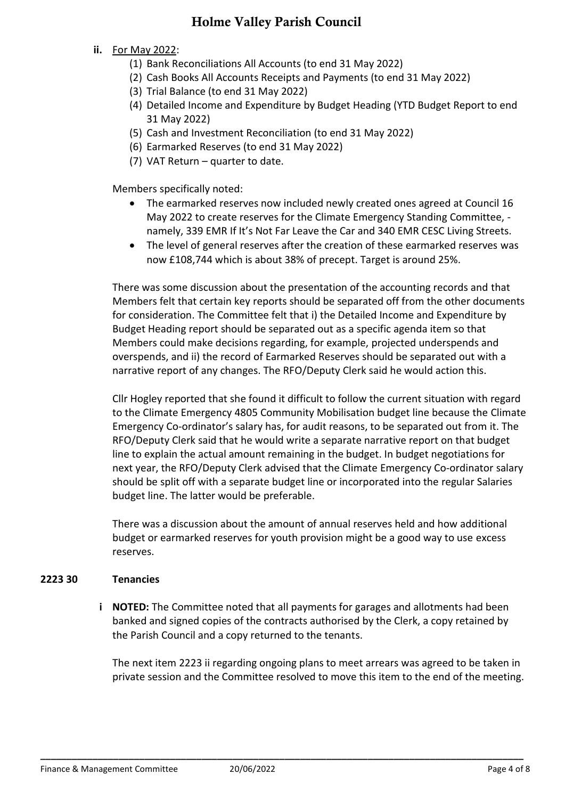- **ii.** For May 2022:
	- (1) Bank Reconciliations All Accounts (to end 31 May 2022)
	- (2) Cash Books All Accounts Receipts and Payments (to end 31 May 2022)
	- (3) Trial Balance (to end 31 May 2022)
	- (4) Detailed Income and Expenditure by Budget Heading (YTD Budget Report to end 31 May 2022)
	- (5) Cash and Investment Reconciliation (to end 31 May 2022)
	- (6) Earmarked Reserves (to end 31 May 2022)
	- (7) VAT Return quarter to date.

Members specifically noted:

- The earmarked reserves now included newly created ones agreed at Council 16 May 2022 to create reserves for the Climate Emergency Standing Committee, namely, 339 EMR If It's Not Far Leave the Car and 340 EMR CESC Living Streets.
- The level of general reserves after the creation of these earmarked reserves was now £108,744 which is about 38% of precept. Target is around 25%.

There was some discussion about the presentation of the accounting records and that Members felt that certain key reports should be separated off from the other documents for consideration. The Committee felt that i) the Detailed Income and Expenditure by Budget Heading report should be separated out as a specific agenda item so that Members could make decisions regarding, for example, projected underspends and overspends, and ii) the record of Earmarked Reserves should be separated out with a narrative report of any changes. The RFO/Deputy Clerk said he would action this.

Cllr Hogley reported that she found it difficult to follow the current situation with regard to the Climate Emergency 4805 Community Mobilisation budget line because the Climate Emergency Co-ordinator's salary has, for audit reasons, to be separated out from it. The RFO/Deputy Clerk said that he would write a separate narrative report on that budget line to explain the actual amount remaining in the budget. In budget negotiations for next year, the RFO/Deputy Clerk advised that the Climate Emergency Co-ordinator salary should be split off with a separate budget line or incorporated into the regular Salaries budget line. The latter would be preferable.

There was a discussion about the amount of annual reserves held and how additional budget or earmarked reserves for youth provision might be a good way to use excess reserves.

#### **2223 30 Tenancies**

**i NOTED:** The Committee noted that all payments for garages and allotments had been banked and signed copies of the contracts authorised by the Clerk, a copy retained by the Parish Council and a copy returned to the tenants.

The next item 2223 ii regarding ongoing plans to meet arrears was agreed to be taken in private session and the Committee resolved to move this item to the end of the meeting.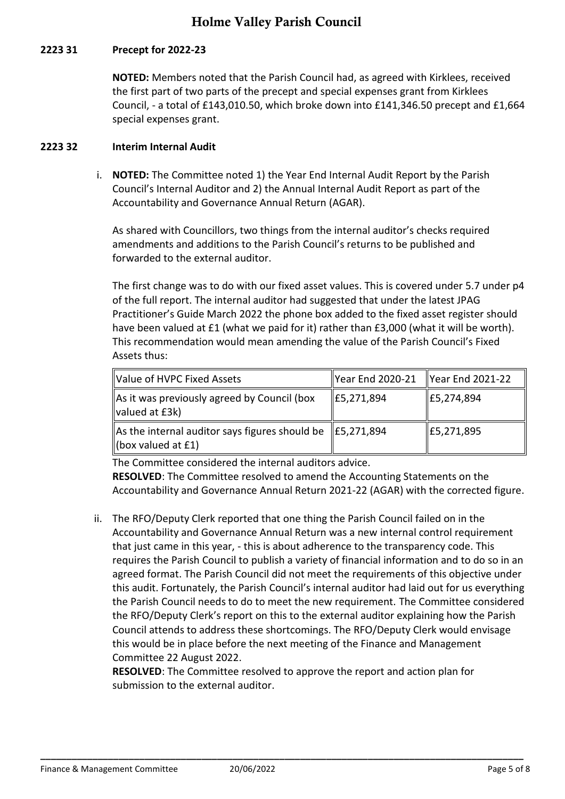### **2223 31 Precept for 2022-23**

**NOTED:** Members noted that the Parish Council had, as agreed with Kirklees, received the first part of two parts of the precept and special expenses grant from Kirklees Council, - a total of £143,010.50, which broke down into £141,346.50 precept and £1,664 special expenses grant.

#### **2223 32 Interim Internal Audit**

i. **NOTED:** The Committee noted 1) the Year End Internal Audit Report by the Parish Council's Internal Auditor and 2) the Annual Internal Audit Report as part of the Accountability and Governance Annual Return (AGAR).

As shared with Councillors, two things from the internal auditor's checks required amendments and additions to the Parish Council's returns to be published and forwarded to the external auditor.

The first change was to do with our fixed asset values. This is covered under 5.7 under p4 of the full report. The internal auditor had suggested that under the latest JPAG Practitioner's Guide March 2022 the phone box added to the fixed asset register should have been valued at £1 (what we paid for it) rather than £3,000 (what it will be worth). This recommendation would mean amending the value of the Parish Council's Fixed Assets thus:

| Value of HVPC Fixed Assets                                                                              | Year End 2020-21 Year End 2021-22 |                    |
|---------------------------------------------------------------------------------------------------------|-----------------------------------|--------------------|
| As it was previously agreed by Council (box<br>valued at £3k)                                           | $\vert$ £5,271,894                | $\vert$ £5,274,894 |
| As the internal auditor says figures should be $\parallel$ £5,271,894<br>$\parallel$ (box valued at £1) |                                   | E5,271,895         |

The Committee considered the internal auditors advice.

**RESOLVED**: The Committee resolved to amend the Accounting Statements on the Accountability and Governance Annual Return 2021-22 (AGAR) with the corrected figure.

ii. The RFO/Deputy Clerk reported that one thing the Parish Council failed on in the Accountability and Governance Annual Return was a new internal control requirement that just came in this year, - this is about adherence to the transparency code. This requires the Parish Council to publish a variety of financial information and to do so in an agreed format. The Parish Council did not meet the requirements of this objective under this audit. Fortunately, the Parish Council's internal auditor had laid out for us everything the Parish Council needs to do to meet the new requirement. The Committee considered the RFO/Deputy Clerk's report on this to the external auditor explaining how the Parish Council attends to address these shortcomings. The RFO/Deputy Clerk would envisage this would be in place before the next meeting of the Finance and Management Committee 22 August 2022.

**RESOLVED**: The Committee resolved to approve the report and action plan for submission to the external auditor.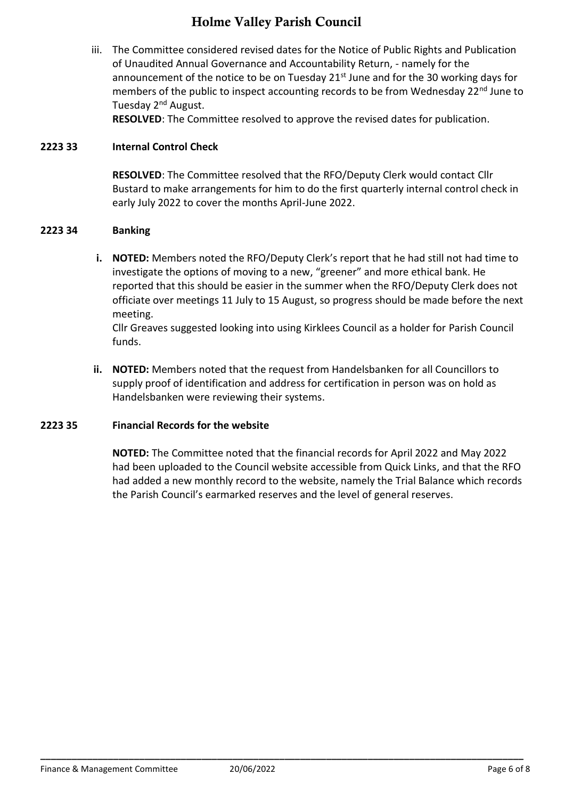iii. The Committee considered revised dates for the Notice of Public Rights and Publication of Unaudited Annual Governance and Accountability Return, - namely for the announcement of the notice to be on Tuesday  $21<sup>st</sup>$  June and for the 30 working days for members of the public to inspect accounting records to be from Wednesday 22<sup>nd</sup> June to Tuesday 2<sup>nd</sup> August.

**RESOLVED**: The Committee resolved to approve the revised dates for publication.

#### **2223 33 Internal Control Check**

**RESOLVED**: The Committee resolved that the RFO/Deputy Clerk would contact Cllr Bustard to make arrangements for him to do the first quarterly internal control check in early July 2022 to cover the months April-June 2022.

#### **2223 34 Banking**

**i. NOTED:** Members noted the RFO/Deputy Clerk's report that he had still not had time to investigate the options of moving to a new, "greener" and more ethical bank. He reported that this should be easier in the summer when the RFO/Deputy Clerk does not officiate over meetings 11 July to 15 August, so progress should be made before the next meeting.

Cllr Greaves suggested looking into using Kirklees Council as a holder for Parish Council funds.

**ii. NOTED:** Members noted that the request from Handelsbanken for all Councillors to supply proof of identification and address for certification in person was on hold as Handelsbanken were reviewing their systems.

#### **2223 35 Financial Records for the website**

**NOTED:** The Committee noted that the financial records for April 2022 and May 2022 had been uploaded to the Council website accessible from Quick Links, and that the RFO had added a new monthly record to the website, namely the Trial Balance which records the Parish Council's earmarked reserves and the level of general reserves.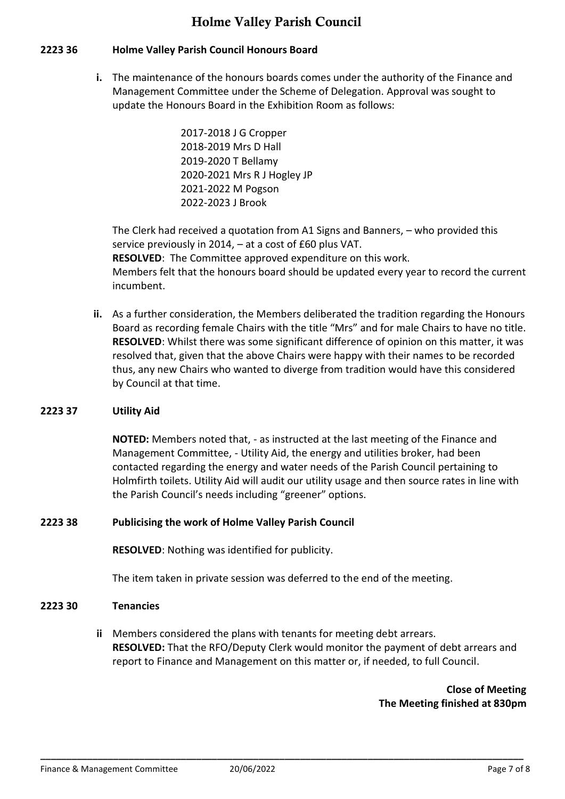### **2223 36 Holme Valley Parish Council Honours Board**

**i.** The maintenance of the honours boards comes under the authority of the Finance and Management Committee under the Scheme of Delegation. Approval was sought to update the Honours Board in the Exhibition Room as follows:

> 2017-2018 J G Cropper 2018-2019 Mrs D Hall 2019-2020 T Bellamy 2020-2021 Mrs R J Hogley JP 2021-2022 M Pogson 2022-2023 J Brook

The Clerk had received a quotation from A1 Signs and Banners, – who provided this service previously in 2014, – at a cost of £60 plus VAT. **RESOLVED**: The Committee approved expenditure on this work. Members felt that the honours board should be updated every year to record the current incumbent.

**ii.** As a further consideration, the Members deliberated the tradition regarding the Honours Board as recording female Chairs with the title "Mrs" and for male Chairs to have no title. **RESOLVED**: Whilst there was some significant difference of opinion on this matter, it was resolved that, given that the above Chairs were happy with their names to be recorded thus, any new Chairs who wanted to diverge from tradition would have this considered by Council at that time.

### **2223 37 Utility Aid**

**NOTED:** Members noted that, - as instructed at the last meeting of the Finance and Management Committee, - Utility Aid, the energy and utilities broker, had been contacted regarding the energy and water needs of the Parish Council pertaining to Holmfirth toilets. Utility Aid will audit our utility usage and then source rates in line with the Parish Council's needs including "greener" options.

### **2223 38 Publicising the work of Holme Valley Parish Council**

**RESOLVED**: Nothing was identified for publicity.

The item taken in private session was deferred to the end of the meeting.

### **2223 30 Tenancies**

**ii** Members considered the plans with tenants for meeting debt arrears. **RESOLVED:** That the RFO/Deputy Clerk would monitor the payment of debt arrears and report to Finance and Management on this matter or, if needed, to full Council.

### **Close of Meeting The Meeting finished at 830pm**